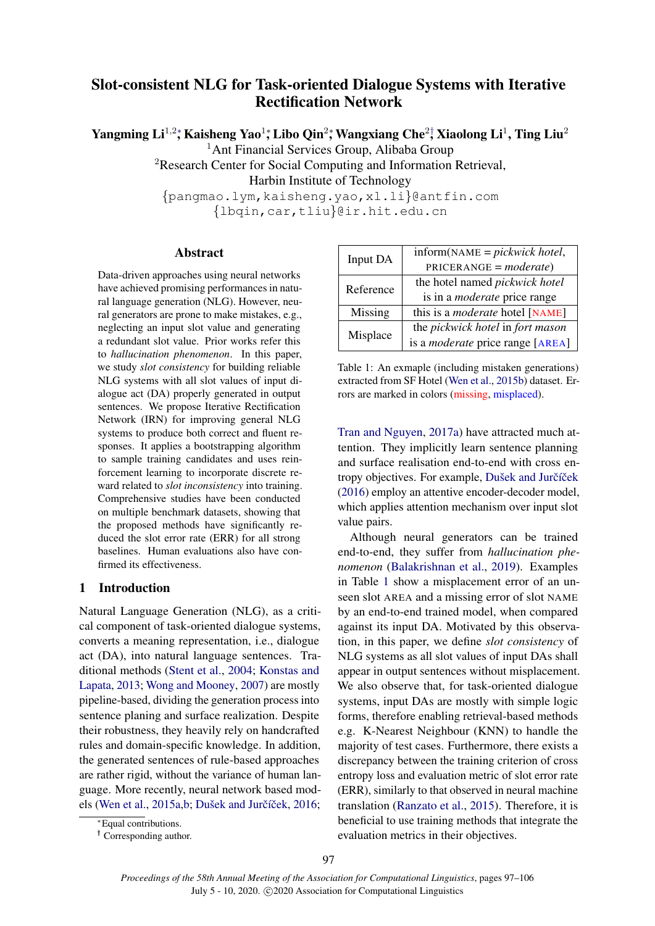# Slot-consistent NLG for Task-oriented Dialogue Systems with Iterative Rectification Network

Yangming Li $^{1,2}$ \*, Kaisheng Yao $^{1}$ \*, Libo Qin $^{2}$ \*, Wangxiang Che $^{2}\dagger$  Xiaolong Li $^{1}$  , Ting Liu $^{2}$ 

<sup>1</sup>Ant Financial Services Group, Alibaba Group

<sup>2</sup>Research Center for Social Computing and Information Retrieval,

Harbin Institute of Technology

{pangmao.lym,kaisheng.yao,xl.li}@antfin.com {lbqin,car,tliu}@ir.hit.edu.cn

## Abstract

Data-driven approaches using neural networks have achieved promising performances in natural language generation (NLG). However, neural generators are prone to make mistakes, e.g., neglecting an input slot value and generating a redundant slot value. Prior works refer this to *hallucination phenomenon*. In this paper, we study *slot consistency* for building reliable NLG systems with all slot values of input dialogue act (DA) properly generated in output sentences. We propose Iterative Rectification Network (IRN) for improving general NLG systems to produce both correct and fluent responses. It applies a bootstrapping algorithm to sample training candidates and uses reinforcement learning to incorporate discrete reward related to *slot inconsistency* into training. Comprehensive studies have been conducted on multiple benchmark datasets, showing that the proposed methods have significantly reduced the slot error rate (ERR) for all strong baselines. Human evaluations also have confirmed its effectiveness.

# 1 Introduction

Natural Language Generation (NLG), as a critical component of task-oriented dialogue systems, converts a meaning representation, i.e., dialogue act (DA), into natural language sentences. Traditional methods [\(Stent et al.,](#page-8-0) [2004;](#page-8-0) [Konstas and](#page-8-1) [Lapata,](#page-8-1) [2013;](#page-8-1) [Wong and Mooney,](#page-9-0) [2007\)](#page-9-0) are mostly pipeline-based, dividing the generation process into sentence planing and surface realization. Despite their robustness, they heavily rely on handcrafted rules and domain-specific knowledge. In addition, the generated sentences of rule-based approaches are rather rigid, without the variance of human language. More recently, neural network based mod-els [\(Wen et al.,](#page-9-1) [2015a](#page-9-1)[,b;](#page-9-2) Dušek and Jurčíček, [2016;](#page-8-2)

<span id="page-0-0"></span>

| Input DA  | $inform(NAME = pickwick hotel,$         |  |  |  |
|-----------|-----------------------------------------|--|--|--|
|           | $PRICERANGE = moderate)$                |  |  |  |
| Reference | the hotel named <i>pickwick hotel</i>   |  |  |  |
|           | is in a <i>moderate</i> price range     |  |  |  |
| Missing   | this is a <i>moderate</i> hotel [NAME]  |  |  |  |
| Misplace  | the pickwick hotel in fort mason        |  |  |  |
|           | is a <i>moderate</i> price range [AREA] |  |  |  |

Table 1: An exmaple (including mistaken generations) extracted from SF Hotel [\(Wen et al.,](#page-9-2) [2015b\)](#page-9-2) dataset. Errors are marked in colors (missing, misplaced).

[Tran and Nguyen,](#page-8-3) [2017a\)](#page-8-3) have attracted much attention. They implicitly learn sentence planning and surface realisation end-to-end with cross entropy objectives. For example, Dušek and Jurčíček [\(2016\)](#page-8-2) employ an attentive encoder-decoder model, which applies attention mechanism over input slot value pairs.

Although neural generators can be trained end-to-end, they suffer from *hallucination phenomenon* [\(Balakrishnan et al.,](#page-8-4) [2019\)](#page-8-4). Examples in Table [1](#page-0-0) show a misplacement error of an unseen slot AREA and a missing error of slot NAME by an end-to-end trained model, when compared against its input DA. Motivated by this observation, in this paper, we define *slot consistency* of NLG systems as all slot values of input DAs shall appear in output sentences without misplacement. We also observe that, for task-oriented dialogue systems, input DAs are mostly with simple logic forms, therefore enabling retrieval-based methods e.g. K-Nearest Neighbour (KNN) to handle the majority of test cases. Furthermore, there exists a discrepancy between the training criterion of cross entropy loss and evaluation metric of slot error rate (ERR), similarly to that observed in neural machine translation [\(Ranzato et al.,](#page-8-5) [2015\)](#page-8-5). Therefore, it is beneficial to use training methods that integrate the evaluation metrics in their objectives.

<sup>∗</sup>Equal contributions.

<sup>†</sup> Corresponding author.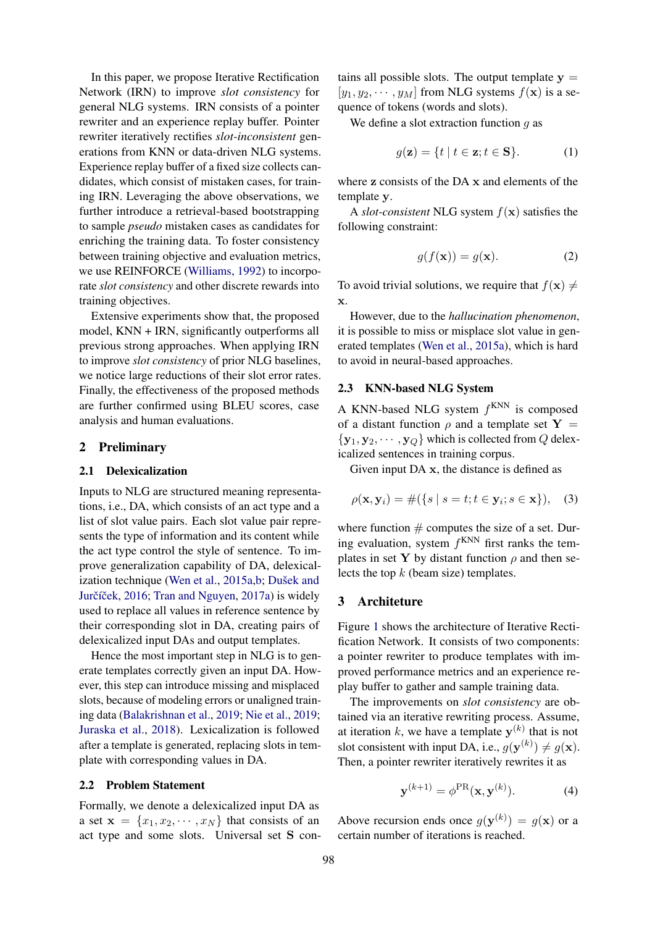In this paper, we propose Iterative Rectification Network (IRN) to improve *slot consistency* for general NLG systems. IRN consists of a pointer rewriter and an experience replay buffer. Pointer rewriter iteratively rectifies *slot-inconsistent* generations from KNN or data-driven NLG systems. Experience replay buffer of a fixed size collects candidates, which consist of mistaken cases, for training IRN. Leveraging the above observations, we further introduce a retrieval-based bootstrapping to sample *pseudo* mistaken cases as candidates for enriching the training data. To foster consistency between training objective and evaluation metrics, we use REINFORCE [\(Williams,](#page-9-3) [1992\)](#page-9-3) to incorporate *slot consistency* and other discrete rewards into training objectives.

Extensive experiments show that, the proposed model, KNN + IRN, significantly outperforms all previous strong approaches. When applying IRN to improve *slot consistency* of prior NLG baselines, we notice large reductions of their slot error rates. Finally, the effectiveness of the proposed methods are further confirmed using BLEU scores, case analysis and human evaluations.

### 2 Preliminary

#### 2.1 Delexicalization

Inputs to NLG are structured meaning representations, i.e., DA, which consists of an act type and a list of slot value pairs. Each slot value pair represents the type of information and its content while the act type control the style of sentence. To improve generalization capability of DA, delexical-ization technique [\(Wen et al.,](#page-9-1) [2015a](#page-9-1)[,b;](#page-9-2) Dušek and Jurčíček, [2016;](#page-8-2) [Tran and Nguyen,](#page-8-3) [2017a\)](#page-8-3) is widely used to replace all values in reference sentence by their corresponding slot in DA, creating pairs of delexicalized input DAs and output templates.

Hence the most important step in NLG is to generate templates correctly given an input DA. However, this step can introduce missing and misplaced slots, because of modeling errors or unaligned training data [\(Balakrishnan et al.,](#page-8-4) [2019;](#page-8-4) [Nie et al.,](#page-8-6) [2019;](#page-8-6) [Juraska et al.,](#page-8-7) [2018\)](#page-8-7). Lexicalization is followed after a template is generated, replacing slots in template with corresponding values in DA.

#### 2.2 Problem Statement

Formally, we denote a delexicalized input DA as a set  $\mathbf{x} = \{x_1, x_2, \dots, x_N\}$  that consists of an act type and some slots. Universal set S con-

tains all possible slots. The output template  $y =$  $[y_1, y_2, \cdots, y_M]$  from NLG systems  $f(\mathbf{x})$  is a sequence of tokens (words and slots).

We define a slot extraction function  $g$  as

$$
g(\mathbf{z}) = \{ t \mid t \in \mathbf{z}; t \in \mathbf{S} \}. \tag{1}
$$

where z consists of the DA x and elements of the template y.

A *slot-consistent* NLG system  $f(\mathbf{x})$  satisfies the following constraint:

$$
g(f(\mathbf{x})) = g(\mathbf{x}).\tag{2}
$$

To avoid trivial solutions, we require that  $f(\mathbf{x}) \neq$ x.

However, due to the *hallucination phenomenon*, it is possible to miss or misplace slot value in generated templates [\(Wen et al.,](#page-9-1) [2015a\)](#page-9-1), which is hard to avoid in neural-based approaches.

#### 2.3 KNN-based NLG System

A KNN-based NLG system  $f^{KNN}$  is composed of a distant function  $\rho$  and a template set Y =  $\{y_1, y_2, \cdots, y_Q\}$  which is collected from Q delexicalized sentences in training corpus.

Given input DA x, the distance is defined as

$$
\rho(\mathbf{x}, \mathbf{y}_i) = #({s | s = t; t \in \mathbf{y}_i; s \in \mathbf{x}}), (3)
$$

where function  $#$  computes the size of a set. During evaluation, system  $f^{KNN}$  first ranks the templates in set Y by distant function  $\rho$  and then selects the top  $k$  (beam size) templates.

#### 3 Architeture

Figure [1](#page-2-0) shows the architecture of Iterative Rectification Network. It consists of two components: a pointer rewriter to produce templates with improved performance metrics and an experience replay buffer to gather and sample training data.

The improvements on *slot consistency* are obtained via an iterative rewriting process. Assume, at iteration k, we have a template  $y^{(k)}$  that is not slot consistent with input DA, i.e.,  $g(\mathbf{y}^{(k)}) \neq g(\mathbf{x})$ . Then, a pointer rewriter iteratively rewrites it as

$$
\mathbf{y}^{(k+1)} = \phi^{\text{PR}}(\mathbf{x}, \mathbf{y}^{(k)}).
$$
 (4)

Above recursion ends once  $g(\mathbf{y}^{(k)}) = g(\mathbf{x})$  or a certain number of iterations is reached.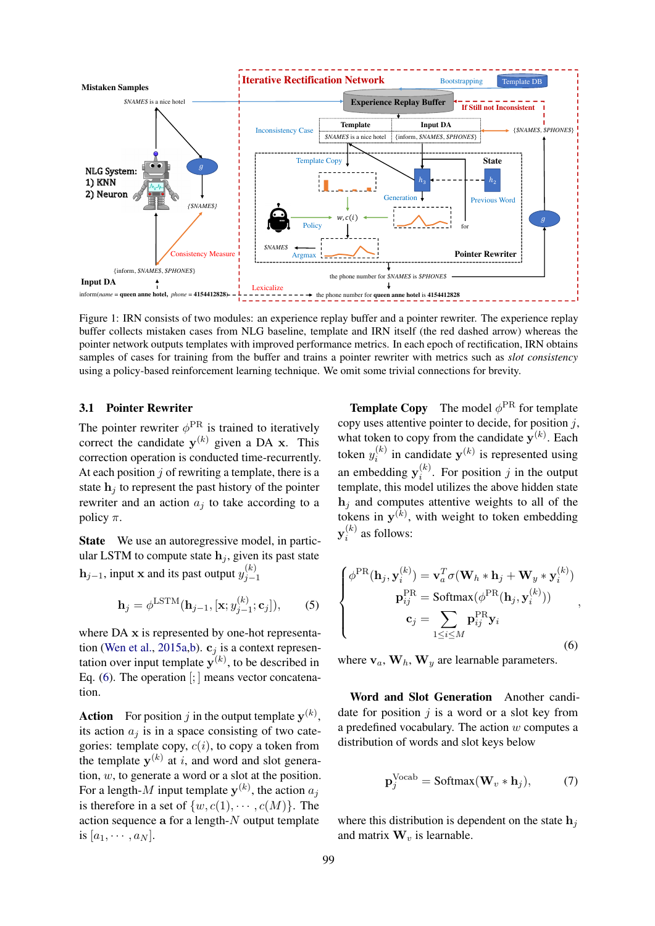<span id="page-2-0"></span>

Figure 1: IRN consists of two modules: an experience replay buffer and a pointer rewriter. The experience replay buffer collects mistaken cases from NLG baseline, template and IRN itself (the red dashed arrow) whereas the pointer network outputs templates with improved performance metrics. In each epoch of rectification, IRN obtains samples of cases for training from the buffer and trains a pointer rewriter with metrics such as *slot consistency* using a policy-based reinforcement learning technique. We omit some trivial connections for brevity.

### 3.1 Pointer Rewriter

The pointer rewriter  $\phi^{\text{PR}}$  is trained to iteratively correct the candidate  $y^{(k)}$  given a DA x. This correction operation is conducted time-recurrently. At each position  $j$  of rewriting a template, there is a state  $h_i$  to represent the past history of the pointer rewriter and an action  $a_i$  to take according to a policy  $\pi$ .

State We use an autoregressive model, in particular LSTM to compute state  $h_i$ , given its past state  $\mathbf{h}_{j-1}$ , input x and its past output  $y_{j-1}^{(k)}$  $j-1$ 

$$
\mathbf{h}_{j} = \phi^{\text{LSTM}}(\mathbf{h}_{j-1}, [\mathbf{x}; y_{j-1}^{(k)}; \mathbf{c}_{j}]), \qquad (5)
$$

where DA x is represented by one-hot representa-tion [\(Wen et al.,](#page-9-1) [2015a,](#page-9-1)[b\)](#page-9-2).  $c_i$  is a context representation over input template  $y^{(k)}$ , to be described in Eq.  $(6)$ . The operation  $\left[\cdot\right]$  means vector concatenation.

**Action** For position j in the output template  $y^{(k)}$ , its action  $a_i$  is in a space consisting of two categories: template copy,  $c(i)$ , to copy a token from the template  $y^{(k)}$  at i, and word and slot generation,  $w$ , to generate a word or a slot at the position. For a length- $M$  input template  $y^{(k)}$ , the action  $a_j$ is therefore in a set of  $\{w, c(1), \cdots, c(M)\}\)$ . The action sequence a for a length- $N$  output template is  $[a_1, \cdots, a_N]$ .

**Template Copy** The model  $\phi^{\text{PR}}$  for template copy uses attentive pointer to decide, for position  $j$ , what token to copy from the candidate  $y^{(k)}$ . Each token  $y_i^{(k)}$  $i_k^{(k)}$  in candidate  $y^{(k)}$  is represented using an embedding  $y_i^{(k)}$  $i^{(k)}$ . For position j in the output template, this model utilizes the above hidden state  $h_i$  and computes attentive weights to all of the tokens in  $y^{(k)}$ , with weight to token embedding  $\mathbf{y}_i^{(k)}$  $i^{(k)}$  as follows:

<span id="page-2-1"></span>
$$
\begin{cases}\n\phi^{\text{PR}}(\mathbf{h}_j, \mathbf{y}_i^{(k)}) = \mathbf{v}_a^T \sigma(\mathbf{W}_h * \mathbf{h}_j + \mathbf{W}_y * \mathbf{y}_i^{(k)}) \\
\mathbf{p}_{ij}^{\text{PR}} = \text{Softmax}(\phi^{\text{PR}}(\mathbf{h}_j, \mathbf{y}_i^{(k)})) \\
\mathbf{c}_j = \sum_{1 \le i \le M} \mathbf{p}_{ij}^{\text{PR}} \mathbf{y}_i\n\end{cases}
$$
\n(6)

where  $v_a$ ,  $W_b$ ,  $W_y$  are learnable parameters.

Word and Slot Generation Another candidate for position  $j$  is a word or a slot key from a predefined vocabulary. The action  $w$  computes a distribution of words and slot keys below

<span id="page-2-2"></span>
$$
\mathbf{p}_{j}^{\text{Vocab}} = \text{Softmax}(\mathbf{W}_{v} * \mathbf{h}_{j}), \quad (7)
$$

where this distribution is dependent on the state  $h_i$ and matrix  $\mathbf{W}_v$  is learnable.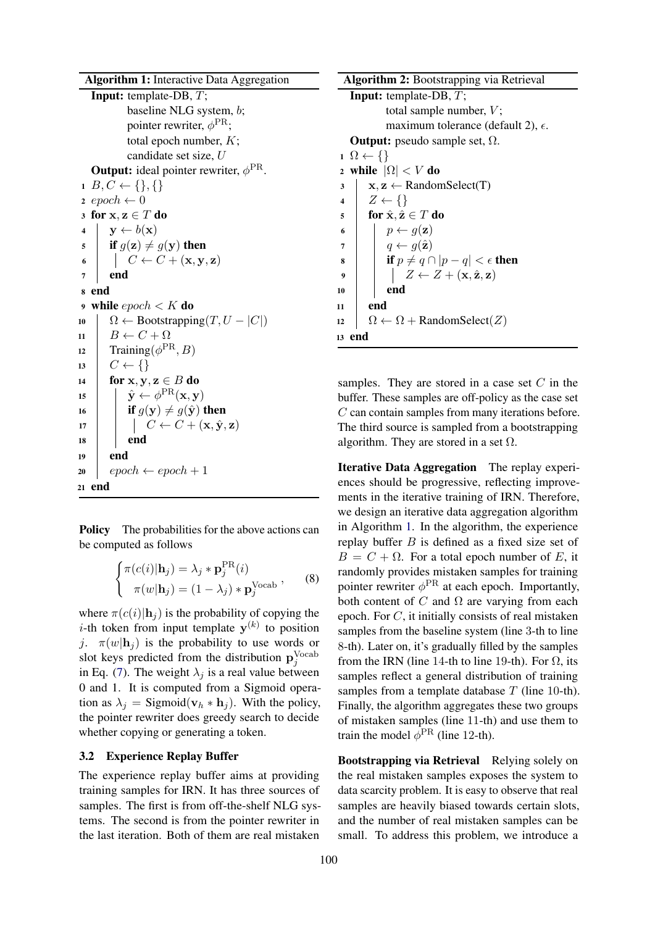<span id="page-3-0"></span>Algorithm 1: Interactive Data Aggregation Input: template-DB, T; baseline NLG system, b; pointer rewriter,  $\phi^{\rm PR}$ ; total epoch number,  $K$ ; candidate set size, U **Output:** ideal pointer rewriter,  $\phi^{\text{PR}}$ .  $1 B, C \leftarrow \{\}, \{\}$ 2 epoch  $\leftarrow 0$ 3 for  $x, z \in T$  do 4  $y \leftarrow b(\mathbf{x})$ 5 if  $g(\mathbf{z}) \neq g(\mathbf{y})$  then 6  $\begin{array}{|c|c|c|c|c|}\n\hline\n6 & C \leftarrow C + (\mathbf{x}, \mathbf{y}, \mathbf{z})\n\end{array}$  $7$  end <sup>8</sup> end 9 while  $epoch < K$  do 10  $\vert \Omega \leftarrow \text{Boostrapping}(T, U - |C|)$  $11 \quad B \leftarrow C + \Omega$ 12 Training  $(\phi^{\text{PR}}, B)$  $13 \mid C \leftarrow \{\}$ 14 for x, y,  $z \in B$  do 15  $\|\hat{\mathbf{y}} \leftarrow \phi^{\mathrm{PR}}(\mathbf{x}, \mathbf{y})$ 16 **if**  $g(y) \neq g(\hat{y})$  then  $17$   $\vert \cdot \vert \cdot \vert C \leftarrow C + (\mathbf{x}, \hat{\mathbf{y}}, \mathbf{z})$  $18$  end  $19$  end  $20 \mid epoch \leftarrow epoch + 1$ <sup>21</sup> end

Policy The probabilities for the above actions can be computed as follows

$$
\begin{cases}\n\pi(c(i)|\mathbf{h}_j) = \lambda_j * \mathbf{p}_j^{\text{PR}}(i) \\
\pi(w|\mathbf{h}_j) = (1 - \lambda_j) * \mathbf{p}_j^{\text{Vocab}}\n\end{cases}
$$
\n(8)

where  $\pi(c(i)|\mathbf{h}_i)$  is the probability of copying the *i*-th token from input template  $y^{(k)}$  to position j.  $\pi(w|\mathbf{h}_i)$  is the probability to use words or slot keys predicted from the distribution  $\mathbf{p}_j^{\text{Vocab}}$ in Eq. [\(7\)](#page-2-2). The weight  $\lambda_j$  is a real value between 0 and 1. It is computed from a Sigmoid operation as  $\lambda_i =$  Sigmoid( $\mathbf{v}_h * \mathbf{h}_i$ ). With the policy, the pointer rewriter does greedy search to decide whether copying or generating a token.

### <span id="page-3-2"></span>3.2 Experience Replay Buffer

The experience replay buffer aims at providing training samples for IRN. It has three sources of samples. The first is from off-the-shelf NLG systems. The second is from the pointer rewriter in the last iteration. Both of them are real mistaken

<span id="page-3-1"></span>Algorithm 2: Bootstrapping via Retrieval Input: template-DB, T; total sample number,  $V$ ; maximum tolerance (default 2),  $\epsilon$ . **Output:** pseudo sample set,  $\Omega$ .  $1 \Omega \leftarrow \{\}$ 2 while  $|\Omega| < V$  do  $\mathbf{3} \mid \mathbf{x}, \mathbf{z} \leftarrow \text{RandomSelect}(T)$  $4 \mid Z \leftarrow \{\}$ 5 for  $\hat{\mathbf{x}}, \hat{\mathbf{z}} \in T$  do 6 |  $p \leftarrow g(\mathbf{z})$ 7  $\vert \quad \vert \quad q \leftarrow g(\hat{\mathbf{z}})$ 8 if  $p \neq q \cap |p - q| < \epsilon$  then 9  $Z \leftarrow Z + (\mathbf{x}, \hat{\mathbf{z}}, \mathbf{z})$  $10$  end  $11$  end  $\Omega$   $\left\{ \Omega \leftarrow \Omega + \text{RandomSelect}(Z) \right\}$ <sup>13</sup> end

samples. They are stored in a case set  $C$  in the buffer. These samples are off-policy as the case set C can contain samples from many iterations before. The third source is sampled from a bootstrapping algorithm. They are stored in a set  $\Omega$ .

Iterative Data Aggregation The replay experiences should be progressive, reflecting improvements in the iterative training of IRN. Therefore, we design an iterative data aggregation algorithm in Algorithm [1.](#page-3-0) In the algorithm, the experience replay buffer  $B$  is defined as a fixed size set of  $B = C + \Omega$ . For a total epoch number of E, it randomly provides mistaken samples for training pointer rewriter  $\phi^{\text{PR}}$  at each epoch. Importantly, both content of C and  $\Omega$  are varying from each epoch. For  $C$ , it initially consists of real mistaken samples from the baseline system (line 3-th to line 8-th). Later on, it's gradually filled by the samples from the IRN (line 14-th to line 19-th). For  $\Omega$ , its samples reflect a general distribution of training samples from a template database  $T$  (line 10-th). Finally, the algorithm aggregates these two groups of mistaken samples (line 11-th) and use them to train the model  $\phi^{\rm PR}$  (line 12-th).

Bootstrapping via Retrieval Relying solely on the real mistaken samples exposes the system to data scarcity problem. It is easy to observe that real samples are heavily biased towards certain slots, and the number of real mistaken samples can be small. To address this problem, we introduce a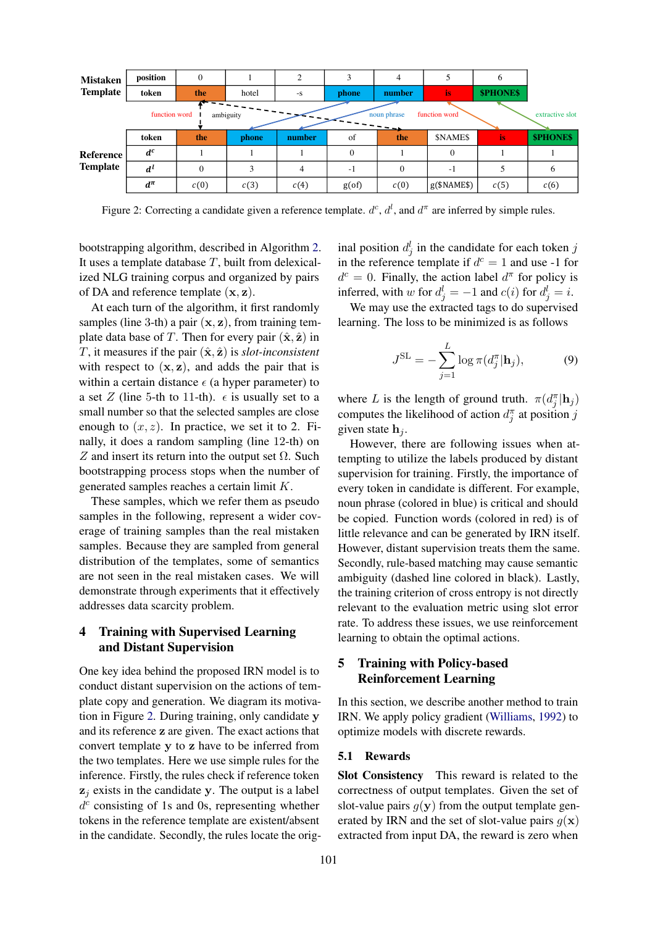<span id="page-4-0"></span>

Figure 2: Correcting a candidate given a reference template.  $d^c$ ,  $d^l$ , and  $d^{\pi}$  are inferred by simple rules.

bootstrapping algorithm, described in Algorithm [2.](#page-3-1) It uses a template database  $T$ , built from delexicalized NLG training corpus and organized by pairs of DA and reference template  $(x, z)$ .

At each turn of the algorithm, it first randomly samples (line 3-th) a pair  $(x, z)$ , from training template data base of T. Then for every pair  $(\hat{\mathbf{x}}, \hat{\mathbf{z}})$  in T, it measures if the pair  $(\hat{\mathbf{x}}, \hat{\mathbf{z}})$  is *slot-inconsistent* with respect to  $(x, z)$ , and adds the pair that is within a certain distance  $\epsilon$  (a hyper parameter) to a set Z (line 5-th to 11-th).  $\epsilon$  is usually set to a small number so that the selected samples are close enough to  $(x, z)$ . In practice, we set it to 2. Finally, it does a random sampling (line 12-th) on Z and insert its return into the output set  $\Omega$ . Such bootstrapping process stops when the number of generated samples reaches a certain limit K.

These samples, which we refer them as pseudo samples in the following, represent a wider coverage of training samples than the real mistaken samples. Because they are sampled from general distribution of the templates, some of semantics are not seen in the real mistaken cases. We will demonstrate through experiments that it effectively addresses data scarcity problem.

# <span id="page-4-1"></span>4 Training with Supervised Learning and Distant Supervision

One key idea behind the proposed IRN model is to conduct distant supervision on the actions of template copy and generation. We diagram its motivation in Figure [2.](#page-4-0) During training, only candidate y and its reference z are given. The exact actions that convert template y to z have to be inferred from the two templates. Here we use simple rules for the inference. Firstly, the rules check if reference token  $z_j$  exists in the candidate y. The output is a label  $d^c$  consisting of 1s and 0s, representing whether tokens in the reference template are existent/absent in the candidate. Secondly, the rules locate the original position  $d_j^l$  in the candidate for each token j in the reference template if  $d^c = 1$  and use -1 for  $d^c = 0$ . Finally, the action label  $d^{\pi}$  for policy is inferred, with w for  $d_j^l = -1$  and  $c(i)$  for  $d_j^l = i$ .

We may use the extracted tags to do supervised learning. The loss to be minimized is as follows

<span id="page-4-2"></span>
$$
J^{\text{SL}} = -\sum_{j=1}^{L} \log \pi(d_j^{\pi} | \mathbf{h}_j), \tag{9}
$$

where L is the length of ground truth.  $\pi(d_j^{\pi}|\mathbf{h}_j)$ computes the likelihood of action  $d_j^{\pi}$  at position j given state  $h_i$ .

However, there are following issues when attempting to utilize the labels produced by distant supervision for training. Firstly, the importance of every token in candidate is different. For example, noun phrase (colored in blue) is critical and should be copied. Function words (colored in red) is of little relevance and can be generated by IRN itself. However, distant supervision treats them the same. Secondly, rule-based matching may cause semantic ambiguity (dashed line colored in black). Lastly, the training criterion of cross entropy is not directly relevant to the evaluation metric using slot error rate. To address these issues, we use reinforcement learning to obtain the optimal actions.

# 5 Training with Policy-based Reinforcement Learning

In this section, we describe another method to train IRN. We apply policy gradient [\(Williams,](#page-9-3) [1992\)](#page-9-3) to optimize models with discrete rewards.

#### <span id="page-4-3"></span>5.1 Rewards

Slot Consistency This reward is related to the correctness of output templates. Given the set of slot-value pairs  $g(y)$  from the output template generated by IRN and the set of slot-value pairs  $g(\mathbf{x})$ extracted from input DA, the reward is zero when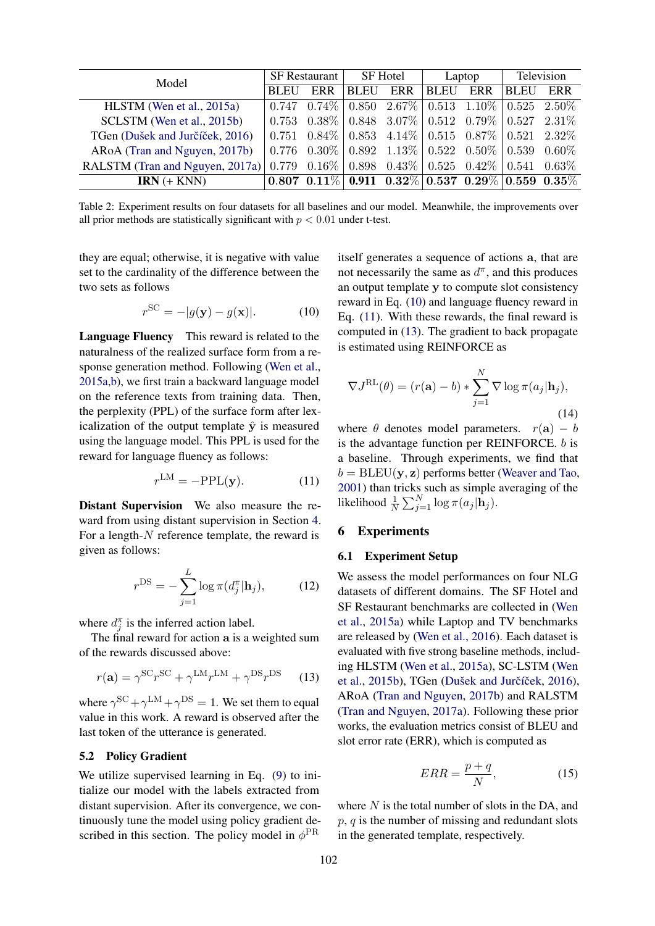<span id="page-5-3"></span>

| Model                           | <b>SF</b> Restaurant |            | SF Hotel    |                                                                           | Laptop |     | Television |     |
|---------------------------------|----------------------|------------|-------------|---------------------------------------------------------------------------|--------|-----|------------|-----|
|                                 | <b>BLEU</b>          | <b>ERR</b> | <b>BLEU</b> | ERR                                                                       | ' BLEU | ERR | BLEU       | ERR |
| HLSTM (Wen et al., 2015a)       |                      |            |             | $0.747$ $0.74\%$ $0.850$ $2.67\%$ $0.513$ $1.10\%$ $0.525$ $2.50\%$       |        |     |            |     |
| SCLSTM (Wen et al., 2015b)      |                      |            |             | $0.753$ $0.38\%$ $0.848$ $3.07\%$ $0.512$ $0.79\%$ $0.527$ $2.31\%$       |        |     |            |     |
| TGen (Dušek and Jurčíček, 2016) |                      |            |             | $0.751$ $0.84\%$ $0.853$ $4.14\%$ $0.515$ $0.87\%$ $0.521$ $2.32\%$       |        |     |            |     |
| ARoA (Tran and Nguyen, 2017b)   |                      |            |             | $0.776$ $0.30\%$   $0.892$ $1.13\%$   $0.522$ $0.50\%$   $0.539$ $0.60\%$ |        |     |            |     |
| RALSTM (Tran and Nguyen, 2017a) |                      |            |             | $0.779$ $0.16\%$ $0.898$ $0.43\%$ $0.525$ $0.42\%$ $0.541$ $0.63\%$       |        |     |            |     |
| $IRN (+ KNN)$                   |                      |            |             | $0.807$ $0.11\%$ 0.911 $0.32\%$ 0.537 $0.29\%$ 0.559 $0.35\%$             |        |     |            |     |

Table 2: Experiment results on four datasets for all baselines and our model. Meanwhile, the improvements over all prior methods are statistically significant with  $p < 0.01$  under t-test.

they are equal; otherwise, it is negative with value set to the cardinality of the difference between the two sets as follows

<span id="page-5-0"></span>
$$
r^{\text{SC}} = -|g(\mathbf{y}) - g(\mathbf{x})|.
$$
 (10)

Language Fluency This reward is related to the naturalness of the realized surface form from a response generation method. Following [\(Wen et al.,](#page-9-1) [2015a,](#page-9-1)[b\)](#page-9-2), we first train a backward language model on the reference texts from training data. Then, the perplexity (PPL) of the surface form after lexicalization of the output template  $\hat{y}$  is measured using the language model. This PPL is used for the reward for language fluency as follows:

$$
r^{\text{LM}} = -\text{PPL}(\mathbf{y}).\tag{11}
$$

Distant Supervision We also measure the reward from using distant supervision in Section [4.](#page-4-1) For a length- $N$  reference template, the reward is given as follows:

<span id="page-5-2"></span>
$$
r^{\text{DS}} = -\sum_{j=1}^{L} \log \pi(d_j^{\pi} | \mathbf{h}_j), \quad (12)
$$

where  $d_j^{\pi}$  is the inferred action label.

The final reward for action a is a weighted sum of the rewards discussed above:

$$
r(\mathbf{a}) = \gamma^{\text{SC}} r^{\text{SC}} + \gamma^{\text{LM}} r^{\text{LM}} + \gamma^{\text{DS}} r^{\text{DS}} \tag{13}
$$

where  $\gamma^{\rm SC} + \gamma^{\rm LM} + \gamma^{\rm DS} = 1$ . We set them to equal value in this work. A reward is observed after the last token of the utterance is generated.

### 5.2 Policy Gradient

We utilize supervised learning in Eq.  $(9)$  to initialize our model with the labels extracted from distant supervision. After its convergence, we continuously tune the model using policy gradient described in this section. The policy model in  $\phi^{\text{PR}}$ 

itself generates a sequence of actions a, that are not necessarily the same as  $d^{\pi}$ , and this produces an output template y to compute slot consistency reward in Eq. [\(10\)](#page-5-0) and language fluency reward in Eq. [\(11\)](#page-5-1). With these rewards, the final reward is computed in [\(13\)](#page-5-2). The gradient to back propagate is estimated using REINFORCE as

$$
\nabla J^{\text{RL}}(\theta) = (r(\mathbf{a}) - b) * \sum_{j=1}^{N} \nabla \log \pi(a_j | \mathbf{h}_j),
$$
\n(14)

<span id="page-5-1"></span>where  $\theta$  denotes model parameters.  $r(a) - b$ is the advantage function per REINFORCE. b is a baseline. Through experiments, we find that  $b = BLEU(y, z)$  performs better [\(Weaver and Tao,](#page-8-9) [2001\)](#page-8-9) than tricks such as simple averaging of the likelihood  $\frac{1}{N} \sum_{j=1}^{N} \log \pi(a_j | \mathbf{h}_j)$ .

#### 6 Experiments

#### 6.1 Experiment Setup

We assess the model performances on four NLG datasets of different domains. The SF Hotel and SF Restaurant benchmarks are collected in [\(Wen](#page-9-1) [et al.,](#page-9-1) [2015a\)](#page-9-1) while Laptop and TV benchmarks are released by [\(Wen et al.,](#page-9-4) [2016\)](#page-9-4). Each dataset is evaluated with five strong baseline methods, including HLSTM [\(Wen et al.,](#page-9-1) [2015a\)](#page-9-1), SC-LSTM [\(Wen](#page-9-2) [et al.,](#page-9-2)  $2015b$ ), TGen (Dušek and Jurčíček,  $2016$ ), ARoA [\(Tran and Nguyen,](#page-8-8) [2017b\)](#page-8-8) and RALSTM [\(Tran and Nguyen,](#page-8-3) [2017a\)](#page-8-3). Following these prior works, the evaluation metrics consist of BLEU and slot error rate (ERR), which is computed as

$$
ERR = \frac{p+q}{N},\tag{15}
$$

where  $N$  is the total number of slots in the DA, and  $p, q$  is the number of missing and redundant slots in the generated template, respectively.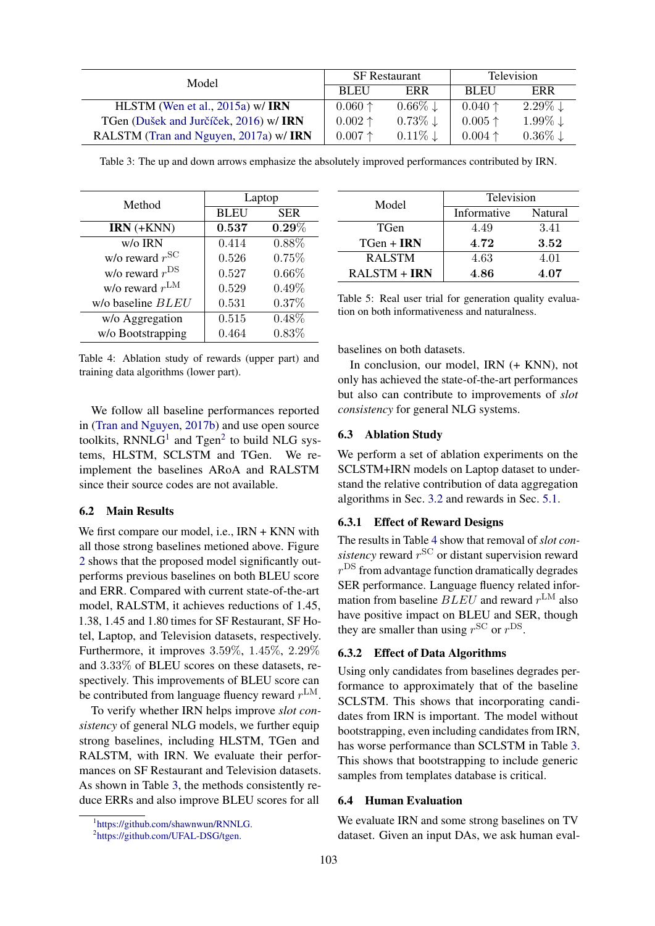<span id="page-6-2"></span>

| Model                                   |                  | <b>SF</b> Restaurant  | <b>Television</b> |                       |
|-----------------------------------------|------------------|-----------------------|-------------------|-----------------------|
|                                         | <b>BLEU</b>      | ERR                   | <b>BLEU</b>       | ERR                   |
| HLSTM (Wen et al., 2015a) w/ <b>IRN</b> | $0.060 \uparrow$ | $0.66\% \downarrow$   | $0.040 \uparrow$  | $2.29\% \downarrow$   |
| TGen (Dušek and Jurčíček, 2016) w/ IRN  | $0.002 \uparrow$ | $0.73\%$ $\downarrow$ | $0.005 \uparrow$  | $1.99\%$ $\downarrow$ |
| RALSTM (Tran and Nguyen, 2017a) w/ IRN  | $0.007$ ↑        | $0.11\% \downarrow$   | $0.004 \uparrow$  | $0.36\% \downarrow$   |

Table 3: The up and down arrows emphasize the absolutely improved performances contributed by IRN.

<span id="page-6-3"></span>

| Method                     | Laptop      |            |  |  |
|----------------------------|-------------|------------|--|--|
|                            | <b>BLEU</b> | <b>SER</b> |  |  |
| $IRN (+KNN)$               | 0.537       | $0.29\%$   |  |  |
| w/o IRN                    | 0.414       | 0.88%      |  |  |
| w/o reward $r^{\text{SC}}$ | 0.526       | 0.75%      |  |  |
| w/o reward $r^{\text{DS}}$ | 0.527       | $0.66\%$   |  |  |
| w/o reward $r^{\text{LM}}$ | 0.529       | $0.49\%$   |  |  |
| w/o baseline <i>BLEU</i>   | 0.531       | 0.37%      |  |  |
| w/o Aggregation            | 0.515       | 0.48%      |  |  |
| w/o Bootstrapping          | 0.464       | 0.83%      |  |  |

Table 4: Ablation study of rewards (upper part) and training data algorithms (lower part).

We follow all baseline performances reported in [\(Tran and Nguyen,](#page-8-8) [2017b\)](#page-8-8) and use open source toolkits,  $RNNLG<sup>1</sup>$  $RNNLG<sup>1</sup>$  $RNNLG<sup>1</sup>$  and Tgen<sup>[2](#page-6-1)</sup> to build NLG systems, HLSTM, SCLSTM and TGen. We reimplement the baselines ARoA and RALSTM since their source codes are not available.

### 6.2 Main Results

We first compare our model, i.e., IRN + KNN with all those strong baselines metioned above. Figure [2](#page-5-3) shows that the proposed model significantly outperforms previous baselines on both BLEU score and ERR. Compared with current state-of-the-art model, RALSTM, it achieves reductions of 1.45, 1.38, 1.45 and 1.80 times for SF Restaurant, SF Hotel, Laptop, and Television datasets, respectively. Furthermore, it improves 3.59%, 1.45%, 2.29% and 3.33% of BLEU scores on these datasets, respectively. This improvements of BLEU score can be contributed from language fluency reward  $r^{\text{LM}}$ .

To verify whether IRN helps improve *slot consistency* of general NLG models, we further equip strong baselines, including HLSTM, TGen and RALSTM, with IRN. We evaluate their performances on SF Restaurant and Television datasets. As shown in Table [3,](#page-6-2) the methods consistently reduce ERRs and also improve BLEU scores for all

<span id="page-6-4"></span>

| Model          | Television  |         |  |  |
|----------------|-------------|---------|--|--|
|                | Informative | Natural |  |  |
| TGen           | 4.49        | 3.41    |  |  |
| $TGen + IRN$   | 4.72        | 3.52    |  |  |
| <b>RALSTM</b>  | 4.63        | 4.01    |  |  |
| $RALSTM + IRN$ | 4.86        | 4.07    |  |  |

Table 5: Real user trial for generation quality evaluation on both informativeness and naturalness.

baselines on both datasets.

In conclusion, our model, IRN (+ KNN), not only has achieved the state-of-the-art performances but also can contribute to improvements of *slot consistency* for general NLG systems.

#### 6.3 Ablation Study

We perform a set of ablation experiments on the SCLSTM+IRN models on Laptop dataset to understand the relative contribution of data aggregation algorithms in Sec. [3.2](#page-3-2) and rewards in Sec. [5.1.](#page-4-3)

### 6.3.1 Effect of Reward Designs

The results in Table [4](#page-6-3) show that removal of *slot con*sistency reward  $r^{\rm SC}$  or distant supervision reward  $r^{\text{DS}}$  from advantage function dramatically degrades SER performance. Language fluency related information from baseline  $BLEU$  and reward  $r^{\text{LM}}$  also have positive impact on BLEU and SER, though they are smaller than using  $r^{\text{SC}}$  or  $r^{\text{DS}}$ .

#### 6.3.2 Effect of Data Algorithms

Using only candidates from baselines degrades performance to approximately that of the baseline SCLSTM. This shows that incorporating candidates from IRN is important. The model without bootstrapping, even including candidates from IRN, has worse performance than SCLSTM in Table [3.](#page-6-2) This shows that bootstrapping to include generic samples from templates database is critical.

#### 6.4 Human Evaluation

We evaluate IRN and some strong baselines on TV dataset. Given an input DAs, we ask human eval-

<span id="page-6-0"></span><sup>1</sup> [https://github.com/shawnwun/RNNLG.](https://github.com/shawnwun/RNNLG)

<span id="page-6-1"></span><sup>&</sup>lt;sup>2</sup>[https://github.com/UFAL-DSG/tgen.](https://github.com/UFAL-DSG/tgen)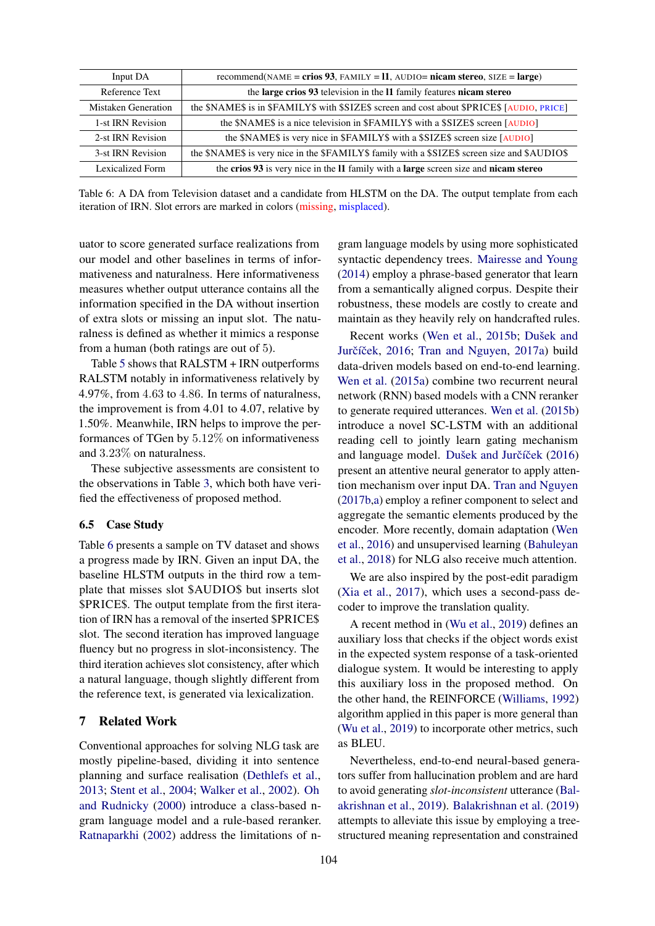<span id="page-7-0"></span>

| Input DA            | recommend( $NAME = crios$ 93, $FAMILY = 11$ , $AUDIO = nicam stereo$ , $SIZE = large$ )      |
|---------------------|----------------------------------------------------------------------------------------------|
| Reference Text      | the large crios 93 television in the 11 family features nicam stereo                         |
| Mistaken Generation | the \$NAME\$ is in \$FAMILY\$ with \$SIZE\$ screen and cost about \$PRICE\$ [AUDIO, PRICE]   |
| 1-st IRN Revision   | the \$NAME\$ is a nice television in \$FAMILY\$ with a \$SIZE\$ screen [AUDIO]               |
| 2-st IRN Revision   | the \$NAME\$ is very nice in \$FAMILY\$ with a \$SIZE\$ screen size [AUDIO]                  |
| 3-st IRN Revision   | the \$NAME\$ is very nice in the \$FAMILY\$ family with a \$SIZE\$ screen size and \$AUDIO\$ |
| Lexicalized Form    | the crios 93 is very nice in the 11 family with a large screen size and nicam stereo         |
|                     |                                                                                              |

Table 6: A DA from Television dataset and a candidate from HLSTM on the DA. The output template from each iteration of IRN. Slot errors are marked in colors (missing, misplaced).

uator to score generated surface realizations from our model and other baselines in terms of informativeness and naturalness. Here informativeness measures whether output utterance contains all the information specified in the DA without insertion of extra slots or missing an input slot. The naturalness is defined as whether it mimics a response from a human (both ratings are out of 5).

Table [5](#page-6-4) shows that RALSTM + IRN outperforms RALSTM notably in informativeness relatively by 4.97%, from 4.63 to 4.86. In terms of naturalness, the improvement is from 4.01 to 4.07, relative by 1.50%. Meanwhile, IRN helps to improve the performances of TGen by 5.12% on informativeness and 3.23% on naturalness.

These subjective assessments are consistent to the observations in Table [3,](#page-6-2) which both have verified the effectiveness of proposed method.

### 6.5 Case Study

Table [6](#page-7-0) presents a sample on TV dataset and shows a progress made by IRN. Given an input DA, the baseline HLSTM outputs in the third row a template that misses slot \$AUDIO\$ but inserts slot \$PRICE\$. The output template from the first iteration of IRN has a removal of the inserted \$PRICE\$ slot. The second iteration has improved language fluency but no progress in slot-inconsistency. The third iteration achieves slot consistency, after which a natural language, though slightly different from the reference text, is generated via lexicalization.

# 7 Related Work

Conventional approaches for solving NLG task are mostly pipeline-based, dividing it into sentence planning and surface realisation [\(Dethlefs et al.,](#page-8-10) [2013;](#page-8-10) [Stent et al.,](#page-8-0) [2004;](#page-8-0) [Walker et al.,](#page-8-11) [2002\)](#page-8-11). [Oh](#page-8-12) [and Rudnicky](#page-8-12) [\(2000\)](#page-8-12) introduce a class-based ngram language model and a rule-based reranker. [Ratnaparkhi](#page-8-13) [\(2002\)](#page-8-13) address the limitations of ngram language models by using more sophisticated syntactic dependency trees. [Mairesse and Young](#page-8-14) [\(2014\)](#page-8-14) employ a phrase-based generator that learn from a semantically aligned corpus. Despite their robustness, these models are costly to create and maintain as they heavily rely on handcrafted rules.

Recent works [\(Wen et al.,](#page-9-2) [2015b;](#page-9-2) Dušek and Jurčíček, [2016;](#page-8-2) [Tran and Nguyen,](#page-8-3) [2017a\)](#page-8-3) build data-driven models based on end-to-end learning. [Wen et al.](#page-9-1) [\(2015a\)](#page-9-1) combine two recurrent neural network (RNN) based models with a CNN reranker to generate required utterances. [Wen et al.](#page-9-2) [\(2015b\)](#page-9-2) introduce a novel SC-LSTM with an additional reading cell to jointly learn gating mechanism and language model. Dušek and Jurčíček [\(2016\)](#page-8-2) present an attentive neural generator to apply attention mechanism over input DA. [Tran and Nguyen](#page-8-8) [\(2017b](#page-8-8)[,a\)](#page-8-3) employ a refiner component to select and aggregate the semantic elements produced by the encoder. More recently, domain adaptation [\(Wen](#page-9-4) [et al.,](#page-9-4) [2016\)](#page-9-4) and unsupervised learning [\(Bahuleyan](#page-8-15) [et al.,](#page-8-15) [2018\)](#page-8-15) for NLG also receive much attention.

We are also inspired by the post-edit paradigm [\(Xia et al.,](#page-9-5) [2017\)](#page-9-5), which uses a second-pass decoder to improve the translation quality.

A recent method in [\(Wu et al.,](#page-9-6) [2019\)](#page-9-6) defines an auxiliary loss that checks if the object words exist in the expected system response of a task-oriented dialogue system. It would be interesting to apply this auxiliary loss in the proposed method. On the other hand, the REINFORCE [\(Williams,](#page-9-3) [1992\)](#page-9-3) algorithm applied in this paper is more general than [\(Wu et al.,](#page-9-6) [2019\)](#page-9-6) to incorporate other metrics, such as BLEU.

Nevertheless, end-to-end neural-based generators suffer from hallucination problem and are hard to avoid generating *slot-inconsistent* utterance [\(Bal](#page-8-4)[akrishnan et al.,](#page-8-4) [2019\)](#page-8-4). [Balakrishnan et al.](#page-8-4) [\(2019\)](#page-8-4) attempts to alleviate this issue by employing a treestructured meaning representation and constrained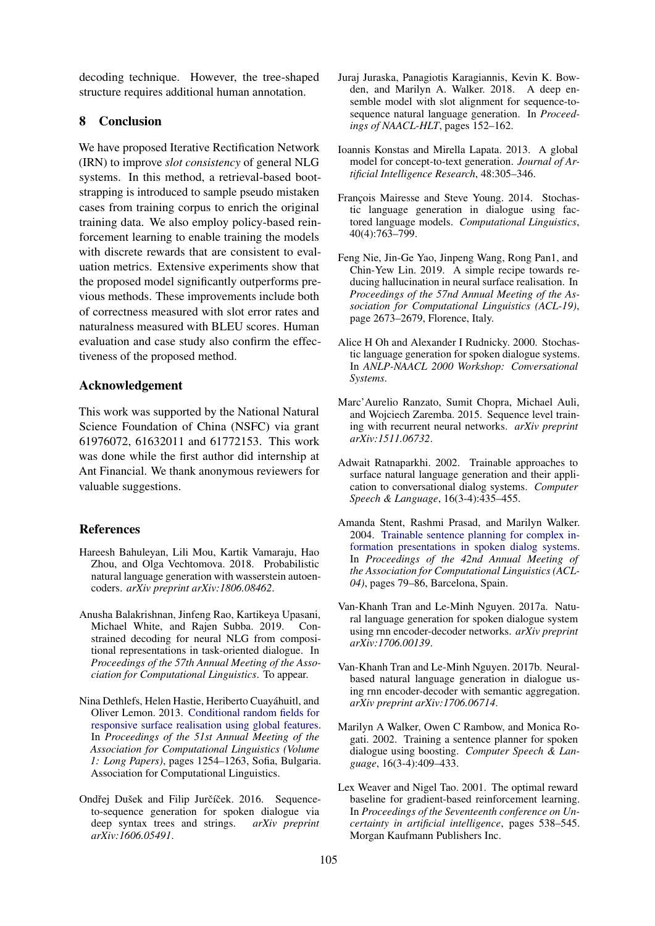decoding technique. However, the tree-shaped structure requires additional human annotation.

### 8 Conclusion

We have proposed Iterative Rectification Network (IRN) to improve *slot consistency* of general NLG systems. In this method, a retrieval-based bootstrapping is introduced to sample pseudo mistaken cases from training corpus to enrich the original training data. We also employ policy-based reinforcement learning to enable training the models with discrete rewards that are consistent to evaluation metrics. Extensive experiments show that the proposed model significantly outperforms previous methods. These improvements include both of correctness measured with slot error rates and naturalness measured with BLEU scores. Human evaluation and case study also confirm the effectiveness of the proposed method.

### Acknowledgement

This work was supported by the National Natural Science Foundation of China (NSFC) via grant 61976072, 61632011 and 61772153. This work was done while the first author did internship at Ant Financial. We thank anonymous reviewers for valuable suggestions.

### References

- <span id="page-8-15"></span>Hareesh Bahuleyan, Lili Mou, Kartik Vamaraju, Hao Zhou, and Olga Vechtomova. 2018. Probabilistic natural language generation with wasserstein autoencoders. *arXiv preprint arXiv:1806.08462*.
- <span id="page-8-4"></span>Anusha Balakrishnan, Jinfeng Rao, Kartikeya Upasani, Michael White, and Rajen Subba. 2019. Constrained decoding for neural NLG from compositional representations in task-oriented dialogue. In *Proceedings of the 57th Annual Meeting of the Association for Computational Linguistics*. To appear.
- <span id="page-8-10"></span>Nina Dethlefs, Helen Hastie, Heriberto Cuayahuitl, and ´ Oliver Lemon. 2013. [Conditional random fields for](https://www.aclweb.org/anthology/P13-1123) [responsive surface realisation using global features.](https://www.aclweb.org/anthology/P13-1123) In *Proceedings of the 51st Annual Meeting of the Association for Computational Linguistics (Volume 1: Long Papers)*, pages 1254–1263, Sofia, Bulgaria. Association for Computational Linguistics.
- <span id="page-8-2"></span>Ondřej Dušek and Filip Jurčíček. 2016. Sequenceto-sequence generation for spoken dialogue via deep syntax trees and strings. *arXiv preprint arXiv:1606.05491*.
- <span id="page-8-7"></span>Juraj Juraska, Panagiotis Karagiannis, Kevin K. Bowden, and Marilyn A. Walker. 2018. A deep ensemble model with slot alignment for sequence-tosequence natural language generation. In *Proceedings of NAACL-HLT*, pages 152–162.
- <span id="page-8-1"></span>Ioannis Konstas and Mirella Lapata. 2013. A global model for concept-to-text generation. *Journal of Artificial Intelligence Research*, 48:305–346.
- <span id="page-8-14"></span>François Mairesse and Steve Young. 2014. Stochastic language generation in dialogue using factored language models. *Computational Linguistics*, 40(4):763–799.
- <span id="page-8-6"></span>Feng Nie, Jin-Ge Yao, Jinpeng Wang, Rong Pan1, and Chin-Yew Lin. 2019. A simple recipe towards reducing hallucination in neural surface realisation. In *Proceedings of the 57nd Annual Meeting of the Association for Computational Linguistics (ACL-19)*, page 2673–2679, Florence, Italy.
- <span id="page-8-12"></span>Alice H Oh and Alexander I Rudnicky. 2000. Stochastic language generation for spoken dialogue systems. In *ANLP-NAACL 2000 Workshop: Conversational Systems*.
- <span id="page-8-5"></span>Marc'Aurelio Ranzato, Sumit Chopra, Michael Auli, and Wojciech Zaremba. 2015. Sequence level training with recurrent neural networks. *arXiv preprint arXiv:1511.06732*.
- <span id="page-8-13"></span>Adwait Ratnaparkhi. 2002. Trainable approaches to surface natural language generation and their application to conversational dialog systems. *Computer Speech & Language*, 16(3-4):435–455.
- <span id="page-8-0"></span>Amanda Stent, Rashmi Prasad, and Marilyn Walker. 2004. [Trainable sentence planning for complex in](https://doi.org/10.3115/1218955.1218966)[formation presentations in spoken dialog systems.](https://doi.org/10.3115/1218955.1218966) In *Proceedings of the 42nd Annual Meeting of the Association for Computational Linguistics (ACL-04)*, pages 79–86, Barcelona, Spain.
- <span id="page-8-3"></span>Van-Khanh Tran and Le-Minh Nguyen. 2017a. Natural language generation for spoken dialogue system using rnn encoder-decoder networks. *arXiv preprint arXiv:1706.00139*.
- <span id="page-8-8"></span>Van-Khanh Tran and Le-Minh Nguyen. 2017b. Neuralbased natural language generation in dialogue using rnn encoder-decoder with semantic aggregation. *arXiv preprint arXiv:1706.06714*.
- <span id="page-8-11"></span>Marilyn A Walker, Owen C Rambow, and Monica Rogati. 2002. Training a sentence planner for spoken dialogue using boosting. *Computer Speech & Language*, 16(3-4):409–433.
- <span id="page-8-9"></span>Lex Weaver and Nigel Tao. 2001. The optimal reward baseline for gradient-based reinforcement learning. In *Proceedings of the Seventeenth conference on Uncertainty in artificial intelligence*, pages 538–545. Morgan Kaufmann Publishers Inc.